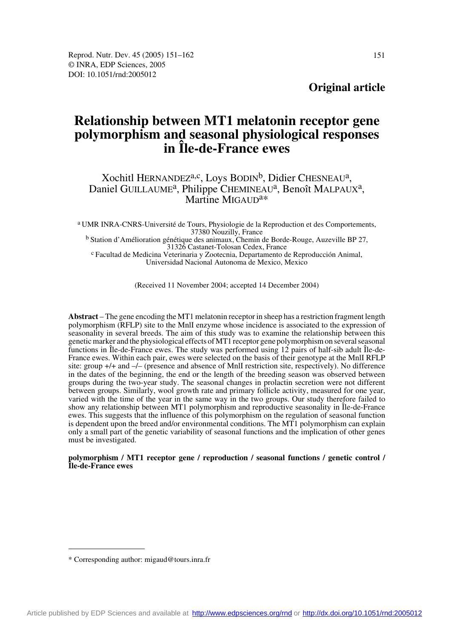**Original article**

# **Relationship between MT1 melatonin receptor gene polymorphism and seasonal physiological responses in Île-de-France ewes**

## Xochitl HERNANDEZ<sup>a,c</sup>, Loys BODIN<sup>b</sup>, Didier CHESNEAU<sup>a</sup>, Daniel GUILLAUME<sup>a</sup>, Philippe CHEMINEAU<sup>a</sup>, Benoît MALPAUX<sup>a</sup>, Martine MIGAUD<sup>a\*</sup>

a UMR INRA-CNRS-Université de Tours, Physiologie de la Reproduction et des Comportements, <sup>b</sup> Station d'Amélioration génétique des animaux, Chemin de Borde-Rouge, Auzeville BP 27,<br>31326 Castanet-Tolosan Cedex, France <sup>c</sup> Facultad de Medicina Veterinaria y Zootecnia, Departamento de Reproducción Animal, Universidad Nacional Autonoma de Mexico, Mexico

(Received 11 November 2004; accepted 14 December 2004)

**Abstract** – The gene encoding the MT1 melatonin receptor in sheep has a restriction fragment length polymorphism (RFLP) site to the MnlI enzyme whose incidence is associated to the expression of seasonality in several breeds. The aim of this study was to examine the relationship between this genetic marker and the physiological effects of MT1 receptor gene polymorphism on several seasonal functions in Île-de-France ewes. The study was performed using 12 pairs of half-sib adult Île-de-France ewes. Within each pair, ewes were selected on the basis of their genotype at the MnlI RFLP site: group +/+ and –/– (presence and absence of MnlI restriction site, respectively). No difference in the dates of the beginning, the end or the length of the breeding season was observed between groups during the two-year study. The seasonal changes in prolactin secretion were not different between groups. Similarly, wool growth rate and primary follicle activity, measured for one year, varied with the time of the year in the same way in the two groups. Our study therefore failed to show any relationship between MT1 polymorphism and reproductive seasonality in Île-de-France ewes. This suggests that the influence of this polymorphism on the regulation of seasonal function is dependent upon the breed and/or environmental conditions. The MT1 polymorphism can explain only a small part of the genetic variability of seasonal functions and the implication of other genes must be investigated.

### **polymorphism / MT1 receptor gene / reproduction / seasonal functions / genetic control / Île-de-France ewes**

<sup>\*</sup> Corresponding author: migaud@tours.inra.fr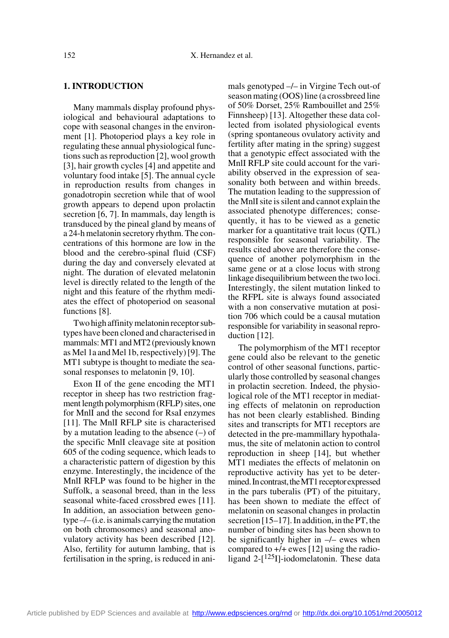## **1. INTRODUCTION**

Many mammals display profound physiological and behavioural adaptations to cope with seasonal changes in the environment [1]. Photoperiod plays a key role in regulating these annual physiological functions such as reproduction [2], wool growth [3], hair growth cycles [4] and appetite and voluntary food intake [5]. The annual cycle in reproduction results from changes in gonadotropin secretion while that of wool growth appears to depend upon prolactin secretion [6, 7]. In mammals, day length is transduced by the pineal gland by means of a 24-h melatonin secretory rhythm. The concentrations of this hormone are low in the blood and the cerebro-spinal fluid (CSF) during the day and conversely elevated at night. The duration of elevated melatonin level is directly related to the length of the night and this feature of the rhythm mediates the effect of photoperiod on seasonal functions [8].

Two high affinity melatonin receptor subtypes have been cloned and characterised in mammals: MT1 and MT2 (previously known as Mel 1a and Mel 1b, respectively) [9]. The MT1 subtype is thought to mediate the seasonal responses to melatonin [9, 10].

Exon II of the gene encoding the MT1 receptor in sheep has two restriction fragment length polymorphism (RFLP) sites, one for MnlI and the second for RsaI enzymes [11]. The MnlI RFLP site is characterised by a mutation leading to the absence  $(-)$  of the specific MnlI cleavage site at position 605 of the coding sequence, which leads to a characteristic pattern of digestion by this enzyme. Interestingly, the incidence of the MnlI RFLP was found to be higher in the Suffolk, a seasonal breed, than in the less seasonal white-faced crossbred ewes [11]. In addition, an association between genotype –/– (i.e. is animals carrying the mutation on both chromosomes) and seasonal anovulatory activity has been described [12]. Also, fertility for autumn lambing, that is fertilisation in the spring, is reduced in animals genotyped –/– in Virgine Tech out-of season mating (OOS) line (a crossbreed line of 50% Dorset, 25% Rambouillet and 25% Finnsheep) [13]. Altogether these data collected from isolated physiological events (spring spontaneous ovulatory activity and fertility after mating in the spring) suggest that a genotypic effect associated with the MnlI RFLP site could account for the variability observed in the expression of seasonality both between and within breeds. The mutation leading to the suppression of the MnlI site is silent and cannot explain the associated phenotype differences; consequently, it has to be viewed as a genetic marker for a quantitative trait locus (QTL) responsible for seasonal variability. The results cited above are therefore the consequence of another polymorphism in the same gene or at a close locus with strong linkage disequilibrium between the two loci. Interestingly, the silent mutation linked to the RFPL site is always found associated with a non conservative mutation at position 706 which could be a causal mutation responsible for variability in seasonal reproduction [12].

The polymorphism of the MT1 receptor gene could also be relevant to the genetic control of other seasonal functions, particularly those controlled by seasonal changes in prolactin secretion. Indeed, the physiological role of the MT1 receptor in mediating effects of melatonin on reproduction has not been clearly established. Binding sites and transcripts for MT1 receptors are detected in the pre-mammillary hypothalamus, the site of melatonin action to control reproduction in sheep [14], but whether MT1 mediates the effects of melatonin on reproductive activity has yet to be determined. In contrast, the MT1 receptor expressed in the pars tuberalis (PT) of the pituitary, has been shown to mediate the effect of melatonin on seasonal changes in prolactin secretion [15–17]. In addition, in the PT, the number of binding sites has been shown to be significantly higher in  $-/-$  ewes when compared to +/+ ewes [12] using the radioligand  $2-[125]]$ -iodomelatonin. These data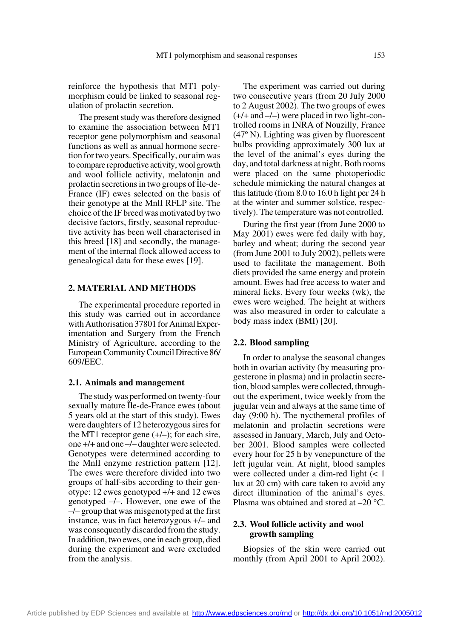reinforce the hypothesis that MT1 polymorphism could be linked to seasonal regulation of prolactin secretion.

The present study was therefore designed to examine the association between MT1 receptor gene polymorphism and seasonal functions as well as annual hormone secretion for two years. Specifically, our aim was to compare reproductive activity, wool growth and wool follicle activity, melatonin and prolactin secretions in two groups of Île-de-France (IF) ewes selected on the basis of their genotype at the MnlI RFLP site. The choice of the IF breed was motivated by two decisive factors, firstly, seasonal reproductive activity has been well characterised in this breed [18] and secondly, the management of the internal flock allowed access to genealogical data for these ewes [19].

#### **2. MATERIAL AND METHODS**

The experimental procedure reported in this study was carried out in accordance with Authorisation 37801 for Animal Experimentation and Surgery from the French Ministry of Agriculture, according to the European Community Council Directive 86/ 609/EEC.

#### **2.1. Animals and management**

The study was performed on twenty-four sexually mature Ile-de-France ewes (about 5 years old at the start of this study). Ewes were daughters of 12 heterozygous sires for the MT1 receptor gene  $(+/-)$ ; for each sire, one +/+ and one –/– daughter were selected. Genotypes were determined according to the MnlI enzyme restriction pattern [12]. The ewes were therefore divided into two groups of half-sibs according to their genotype: 12 ewes genotyped +/+ and 12 ewes genotyped –/–. However, one ewe of the –/– group that was misgenotyped at the first instance, was in fact heterozygous +/– and was consequently discarded from the study. In addition, two ewes, one in each group, died during the experiment and were excluded from the analysis.

The experiment was carried out during two consecutive years (from 20 July 2000 to 2 August 2002). The two groups of ewes  $(+/+$  and  $-/-$ ) were placed in two light-controlled rooms in INRA of Nouzilly, France (47º N). Lighting was given by fluorescent bulbs providing approximately 300 lux at the level of the animal's eyes during the day, and total darkness at night. Both rooms were placed on the same photoperiodic schedule mimicking the natural changes at this latitude (from 8.0 to 16.0 h light per 24 h at the winter and summer solstice, respectively). The temperature was not controlled.

During the first year (from June 2000 to May 2001) ewes were fed daily with hay, barley and wheat; during the second year (from June 2001 to July 2002), pellets were used to facilitate the management. Both diets provided the same energy and protein amount. Ewes had free access to water and mineral licks. Every four weeks (wk), the ewes were weighed. The height at withers was also measured in order to calculate a body mass index (BMI) [20].

#### **2.2. Blood sampling**

In order to analyse the seasonal changes both in ovarian activity (by measuring progesterone in plasma) and in prolactin secretion, blood samples were collected, throughout the experiment, twice weekly from the jugular vein and always at the same time of day (9:00 h). The nycthemeral profiles of melatonin and prolactin secretions were assessed in January, March, July and October 2001. Blood samples were collected every hour for 25 h by venepuncture of the left jugular vein. At night, blood samples were collected under a dim-red light (< 1 lux at 20 cm) with care taken to avoid any direct illumination of the animal's eyes. Plasma was obtained and stored at –20 °C.

## **2.3. Wool follicle activity and wool growth sampling**

Biopsies of the skin were carried out monthly (from April 2001 to April 2002).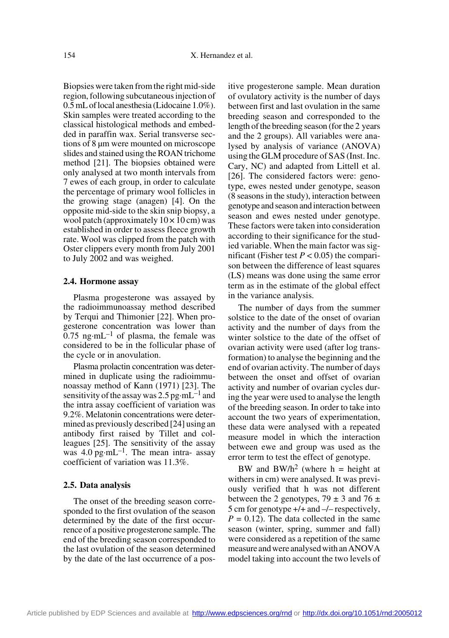Biopsies were taken from the right mid-side region, following subcutaneous injection of 0.5 mL of local anesthesia (Lidocaine 1.0%). Skin samples were treated according to the classical histological methods and embedded in paraffin wax. Serial transverse sections of 8 µm were mounted on microscope slides and stained using the ROAN trichome method [21]. The biopsies obtained were only analysed at two month intervals from 7 ewes of each group, in order to calculate the percentage of primary wool follicles in the growing stage (anagen) [4]. On the opposite mid-side to the skin snip biopsy, a wool patch (approximately  $10 \times 10$  cm) was established in order to assess fleece growth rate. Wool was clipped from the patch with Oster clippers every month from July 2001 to July 2002 and was weighed.

#### **2.4. Hormone assay**

Plasma progesterone was assayed by the radioimmunoassay method described by Terqui and Thimonier [22]. When progesterone concentration was lower than  $0.75$  ng·mL<sup>-1</sup> of plasma, the female was considered to be in the follicular phase of the cycle or in anovulation.

Plasma prolactin concentration was determined in duplicate using the radioimmunoassay method of Kann (1971) [23]. The sensitivity of the assay was  $2.5$  pg·mL<sup>-1</sup> and the intra assay coefficient of variation was 9.2%. Melatonin concentrations were determined as previously described [24] using an antibody first raised by Tillet and colleagues [25]. The sensitivity of the assay was  $4.0 \text{ pg} \cdot \text{m} \text{L}^{-1}$ . The mean intra- assay coefficient of variation was 11.3%.

## **2.5. Data analysis**

The onset of the breeding season corresponded to the first ovulation of the season determined by the date of the first occurrence of a positive progesterone sample. The end of the breeding season corresponded to the last ovulation of the season determined by the date of the last occurrence of a positive progesterone sample. Mean duration of ovulatory activity is the number of days between first and last ovulation in the same breeding season and corresponded to the length of the breeding season (for the 2 years and the 2 groups). All variables were analysed by analysis of variance (ANOVA) using the GLM procedure of SAS (Inst. Inc. Cary, NC) and adapted from Littell et al. [26]. The considered factors were: genotype, ewes nested under genotype, season (8 seasons in the study), interaction between genotype and season and interaction between season and ewes nested under genotype. These factors were taken into consideration according to their significance for the studied variable. When the main factor was significant (Fisher test  $P < 0.05$ ) the comparison between the difference of least squares (LS) means was done using the same error term as in the estimate of the global effect in the variance analysis.

The number of days from the summer solstice to the date of the onset of ovarian activity and the number of days from the winter solstice to the date of the offset of ovarian activity were used (after log transformation) to analyse the beginning and the end of ovarian activity. The number of days between the onset and offset of ovarian activity and number of ovarian cycles during the year were used to analyse the length of the breeding season. In order to take into account the two years of experimentation, these data were analysed with a repeated measure model in which the interaction between ewe and group was used as the error term to test the effect of genotype.

BW and BW/h<sup>2</sup> (where h = height at withers in cm) were analysed. It was previously verified that h was not different between the 2 genotypes,  $79 \pm 3$  and  $76 \pm 1$ 5 cm for genotype +/+ and –/– respectively,  $P = 0.12$ ). The data collected in the same season (winter, spring, summer and fall) were considered as a repetition of the same measure and were analysed with an ANOVA model taking into account the two levels of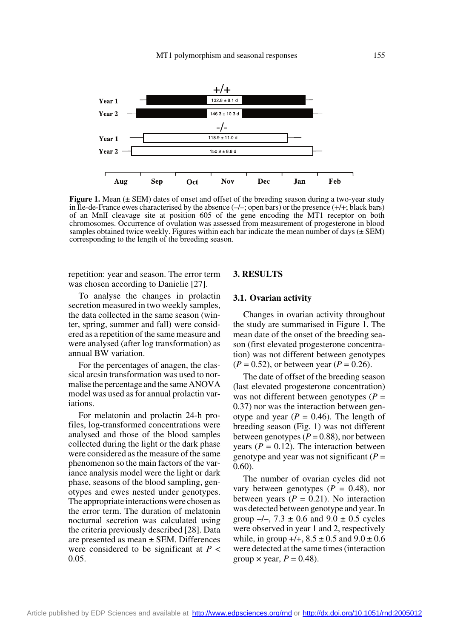

**Figure 1.** Mean ( $\pm$  SEM) dates of onset and offset of the breeding season during a two-year study in Île-de-France ewes characterised by the absence  $(-/-;$  open bars) or the presence  $(+/+;$  black bars) of an MnlI cleavage site at position 605 of the gene encoding the MT1 receptor on both chromosomes. Occurrence of ovulation was assessed from measurement of progesterone in blood samples obtained twice weekly. Figures within each bar indicate the mean number of days  $(\pm$  SEM) corresponding to the length of the breeding season.

repetition: year and season. The error term was chosen according to Danielie [27].

To analyse the changes in prolactin secretion measured in two weekly samples, the data collected in the same season (winter, spring, summer and fall) were considered as a repetition of the same measure and were analysed (after log transformation) as annual BW variation.

For the percentages of anagen, the classical arcsin transformation was used to normalise the percentage and the same ANOVA model was used as for annual prolactin variations.

For melatonin and prolactin 24-h profiles, log-transformed concentrations were analysed and those of the blood samples collected during the light or the dark phase were considered as the measure of the same phenomenon so the main factors of the variance analysis model were the light or dark phase, seasons of the blood sampling, genotypes and ewes nested under genotypes. The appropriate interactions were chosen as the error term. The duration of melatonin nocturnal secretion was calculated using the criteria previously described [28]. Data are presented as mean ± SEM. Differences were considered to be significant at *P* < 0.05.

## **3. RESULTS**

## **3.1. Ovarian activity**

Changes in ovarian activity throughout the study are summarised in Figure 1. The mean date of the onset of the breeding season (first elevated progesterone concentration) was not different between genotypes  $(P = 0.52)$ , or between year  $(P = 0.26)$ .

The date of offset of the breeding season (last elevated progesterone concentration) was not different between genotypes  $(P =$ 0.37) nor was the interaction between genotype and year  $(P = 0.46)$ . The length of breeding season (Fig. 1) was not different between genotypes  $(P = 0.88)$ , nor between years ( $P = 0.12$ ). The interaction between genotype and year was not significant  $(P =$ 0.60).

The number of ovarian cycles did not vary between genotypes  $(P = 0.48)$ , nor between years  $(P = 0.21)$ . No interaction was detected between genotype and year. In group  $-/-$ , 7.3  $\pm$  0.6 and 9.0  $\pm$  0.5 cycles were observed in year 1 and 2, respectively while, in group  $+/+$ ,  $8.5 \pm 0.5$  and  $9.0 \pm 0.6$ were detected at the same times (interaction group  $\times$  year,  $P = 0.48$ ).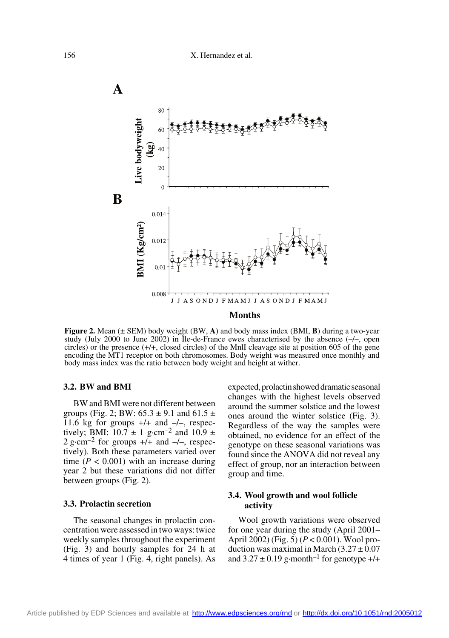

**Figure 2.** Mean (± SEM) body weight (BW, **A**) and body mass index (BMI, **B**) during a two-year study (July 2000 to June 2002) in Île-de-France ewes characterised by the absence (–/–, open circles) or the presence (+/+, closed circles) of the MnlI cleavage site at position 605 of the gene encoding the MT1 receptor on both chromosomes. Body weight was measured once monthly and body mass index was the ratio between body weight and height at wither.

## **3.2. BW and BMI**

BW and BMI were not different between groups (Fig. 2; BW:  $65.3 \pm 9.1$  and  $61.5 \pm 1$ 11.6 kg for groups  $+/+$  and  $-/-$ , respectively; BMI:  $10.7 \pm 1$  g·cm<sup>-2</sup> and  $10.9 \pm$ 2 g·cm<sup>-2</sup> for groups  $+/+$  and  $-/-$ , respectively). Both these parameters varied over time  $(P < 0.001)$  with an increase during year 2 but these variations did not differ between groups (Fig. 2).

## **3.3. Prolactin secretion**

The seasonal changes in prolactin concentration were assessed in two ways: twice weekly samples throughout the experiment (Fig. 3) and hourly samples for 24 h at 4 times of year 1 (Fig. 4, right panels). As expected, prolactin showed dramatic seasonal changes with the highest levels observed around the summer solstice and the lowest ones around the winter solstice (Fig. 3). Regardless of the way the samples were obtained, no evidence for an effect of the genotype on these seasonal variations was found since the ANOVA did not reveal any effect of group, nor an interaction between group and time.

## **3.4. Wool growth and wool follicle activity**

Wool growth variations were observed for one year during the study (April 2001– April 2002) (Fig. 5) (*P* < 0.001). Wool production was maximal in March  $(3.27 \pm 0.07)$ and  $3.27 \pm 0.19$  g·month<sup>-1</sup> for genotype  $+/+$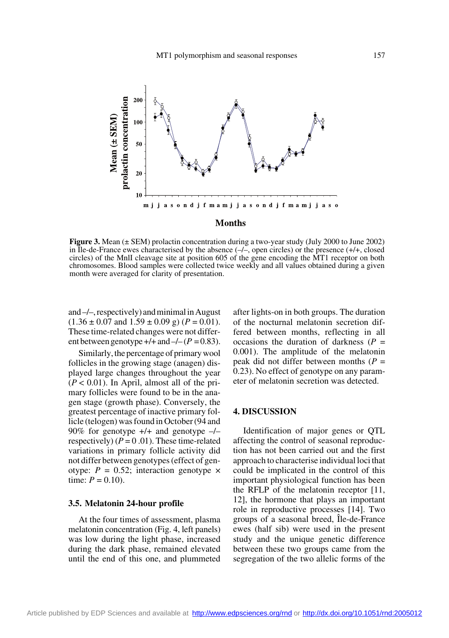

**Figure 3.** Mean (± SEM) prolactin concentration during a two-year study (July 2000 to June 2002) in Île-de-France ewes characterised by the absence  $(-/-)$ , open circles) or the presence  $(+/+)$ , closed circles) of the MnlI cleavage site at position 605 of the gene encoding the MT1 receptor on both chromosomes. Blood samples were collected twice weekly and all values obtained during a given month were averaged for clarity of presentation.

and –/–, respectively) and minimal in August  $(1.36 \pm 0.07 \text{ and } 1.59 \pm 0.09 \text{ g}) (P = 0.01).$ These time-related changes were not different between genotype  $+/-$  and  $-/-$  ( $P = 0.83$ ).

Similarly, the percentage of primary wool follicles in the growing stage (anagen) displayed large changes throughout the year  $(P < 0.01)$ . In April, almost all of the primary follicles were found to be in the anagen stage (growth phase). Conversely, the greatest percentage of inactive primary follicle (telogen) was found in October (94 and 90% for genotype  $+/-$  and genotype  $-/$ respectively)  $(P = 0.01)$ . These time-related variations in primary follicle activity did not differ between genotypes (effect of genotype:  $P = 0.52$ ; interaction genotype  $\times$ time:  $P = 0.10$ ).

## **3.5. Melatonin 24-hour profile**

At the four times of assessment, plasma melatonin concentration (Fig. 4, left panels) was low during the light phase, increased during the dark phase, remained elevated until the end of this one, and plummeted after lights-on in both groups. The duration of the nocturnal melatonin secretion differed between months, reflecting in all occasions the duration of darkness  $(P =$ 0.001). The amplitude of the melatonin peak did not differ between months (*P* = 0.23). No effect of genotype on any parameter of melatonin secretion was detected.

## **4. DISCUSSION**

Identification of major genes or QTL affecting the control of seasonal reproduction has not been carried out and the first approach to characterise individual loci that could be implicated in the control of this important physiological function has been the RFLP of the melatonin receptor [11, 12], the hormone that plays an important role in reproductive processes [14]. Two groups of a seasonal breed, Île-de-France ewes (half sib) were used in the present study and the unique genetic difference between these two groups came from the segregation of the two allelic forms of the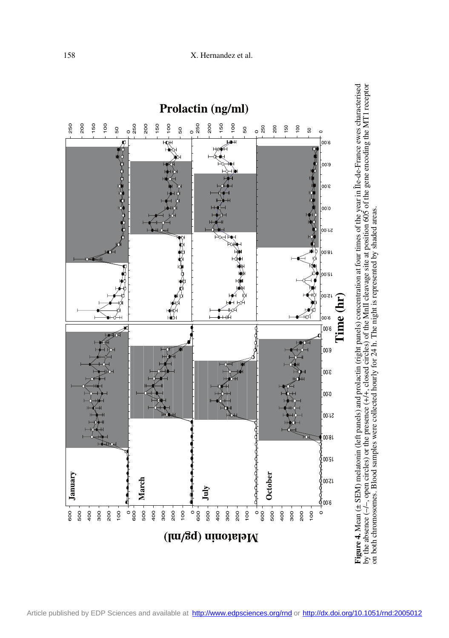

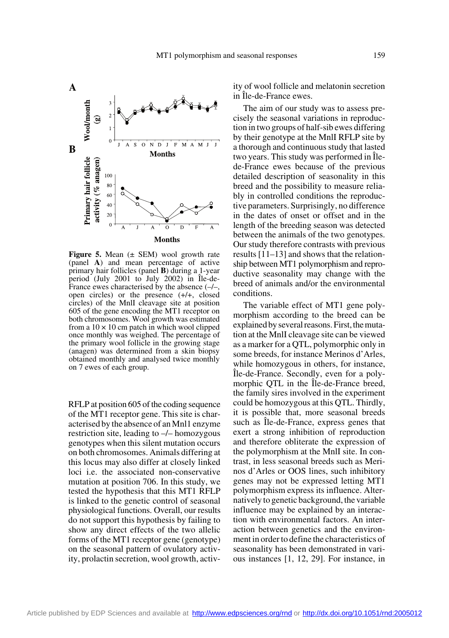

**Figure 5.** Mean ( $\pm$  SEM) wool growth rate (panel **A**) and mean percentage of active primary hair follicles (panel **B**) during a 1-year period (July 2001 to July 2002) in Île-de-France ewes characterised by the absence  $(-/-)$ , open circles) or the presence (+/+, closed circles) of the MnlI cleavage site at position 605 of the gene encoding the MT1 receptor on both chromosomes. Wool growth was estimated from a  $10 \times 10$  cm patch in which wool clipped once monthly was weighed. The percentage of the primary wool follicle in the growing stage (anagen) was determined from a skin biopsy obtained monthly and analysed twice monthly on 7 ewes of each group.

RFLP at position 605 of the coding sequence of the MT1 receptor gene. This site is characterised by the absence of an Mnl1 enzyme restriction site, leading to –/– homozygous genotypes when this silent mutation occurs on both chromosomes. Animals differing at this locus may also differ at closely linked loci i.e. the associated non-conservative mutation at position 706. In this study, we tested the hypothesis that this MT1 RFLP is linked to the genetic control of seasonal physiological functions. Overall, our results do not support this hypothesis by failing to show any direct effects of the two allelic forms of the MT1 receptor gene (genotype) on the seasonal pattern of ovulatory activity, prolactin secretion, wool growth, activity of wool follicle and melatonin secretion in Île-de-France ewes.

The aim of our study was to assess precisely the seasonal variations in reproduction in two groups of half-sib ewes differing by their genotype at the MnlI RFLP site by a thorough and continuous study that lasted two years. This study was performed in Îlede-France ewes because of the previous detailed description of seasonality in this breed and the possibility to measure reliably in controlled conditions the reproductive parameters. Surprisingly, no difference in the dates of onset or offset and in the length of the breeding season was detected between the animals of the two genotypes. Our study therefore contrasts with previous results [11–13] and shows that the relationship between MT1 polymorphism and reproductive seasonality may change with the breed of animals and/or the environmental conditions.

The variable effect of MT1 gene polymorphism according to the breed can be explained by several reasons. First, the mutation at the MnlI cleavage site can be viewed as a marker for a QTL, polymorphic only in some breeds, for instance Merinos d'Arles, while homozygous in others, for instance, Île-de-France. Secondly, even for a polymorphic QTL in the Île-de-France breed, the family sires involved in the experiment could be homozygous at this QTL. Thirdly, it is possible that, more seasonal breeds such as Île-de-France, express genes that exert a strong inhibition of reproduction and therefore obliterate the expression of the polymorphism at the MnlI site. In contrast, in less seasonal breeds such as Merinos d'Arles or OOS lines, such inhibitory genes may not be expressed letting MT1 polymorphism express its influence. Alternatively to genetic background, the variable influence may be explained by an interaction with environmental factors. An interaction between genetics and the environment in order to define the characteristics of seasonality has been demonstrated in various instances [1, 12, 29]. For instance, in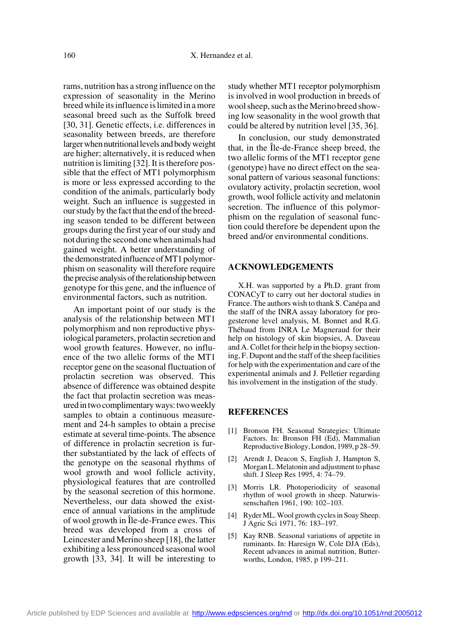rams, nutrition has a strong influence on the expression of seasonality in the Merino breed while its influence is limited in a more seasonal breed such as the Suffolk breed [30, 31]. Genetic effects, i.e. differences in seasonality between breeds, are therefore larger when nutritional levels and body weight are higher; alternatively, it is reduced when nutrition is limiting [32]. It is therefore possible that the effect of MT1 polymorphism is more or less expressed according to the condition of the animals, particularly body weight. Such an influence is suggested in our study by the fact that the end of the breeding season tended to be different between groups during the first year of our study and not during the second one when animals had gained weight. A better understanding of the demonstrated influence of MT1 polymorphism on seasonality will therefore require the precise analysis of the relationship between genotype for this gene, and the influence of environmental factors, such as nutrition.

An important point of our study is the analysis of the relationship between MT1 polymorphism and non reproductive physiological parameters, prolactin secretion and wool growth features. However, no influence of the two allelic forms of the MT1 receptor gene on the seasonal fluctuation of prolactin secretion was observed. This absence of difference was obtained despite the fact that prolactin secretion was measured in two complimentary ways: two weekly samples to obtain a continuous measurement and 24-h samples to obtain a precise estimate at several time-points. The absence of difference in prolactin secretion is further substantiated by the lack of effects of the genotype on the seasonal rhythms of wool growth and wool follicle activity, physiological features that are controlled by the seasonal secretion of this hormone. Nevertheless, our data showed the existence of annual variations in the amplitude of wool growth in Île-de-France ewes. This breed was developed from a cross of Leincester and Merino sheep [18], the latter exhibiting a less pronounced seasonal wool growth [33, 34]. It will be interesting to

study whether MT1 receptor polymorphism is involved in wool production in breeds of wool sheep, such as the Merino breed showing low seasonality in the wool growth that could be altered by nutrition level [35, 36].

In conclusion, our study demonstrated that, in the Île-de-France sheep breed, the two allelic forms of the MT1 receptor gene (genotype) have no direct effect on the seasonal pattern of various seasonal functions: ovulatory activity, prolactin secretion, wool growth, wool follicle activity and melatonin secretion. The influence of this polymorphism on the regulation of seasonal function could therefore be dependent upon the breed and/or environmental conditions.

#### **ACKNOWLEDGEMENTS**

X.H. was supported by a Ph.D. grant from CONACyT to carry out her doctoral studies in France. The authors wish to thank S. Canépa and the staff of the INRA assay laboratory for progesterone level analysis, M. Bonnet and R.G. Thébaud from INRA Le Magneraud for their help on histology of skin biopsies, A. Daveau and A. Collet for their help in the biopsy sectioning, F. Dupont and the staff of the sheep facilities for help with the experimentation and care of the experimental animals and J. Pelletier regarding his involvement in the instigation of the study.

#### **REFERENCES**

- [1] Bronson FH. Seasonal Strategies: Ultimate Factors. In: Bronson FH (Ed), Mammalian Reproductive Biology, London, 1989, p 28–59.
- [2] Arendt J, Deacon S, English J, Hampton S, Morgan L. Melatonin and adjustment to phase shift. J Sleep Res 1995, 4: 74–79.
- [3] Morris LR. Photoperiodicity of seasonal rhythm of wool growth in sheep. Naturwissenschaften 1961, 190: 102–103.
- [4] Ryder ML. Wool growth cycles in Soay Sheep. J Agric Sci 1971, 76: 183–197.
- [5] Kay RNB. Seasonal variations of appetite in ruminants. In: Haresign W, Cole DJA (Eds), Recent advances in animal nutrition, Butterworths, London, 1985, p 199–211.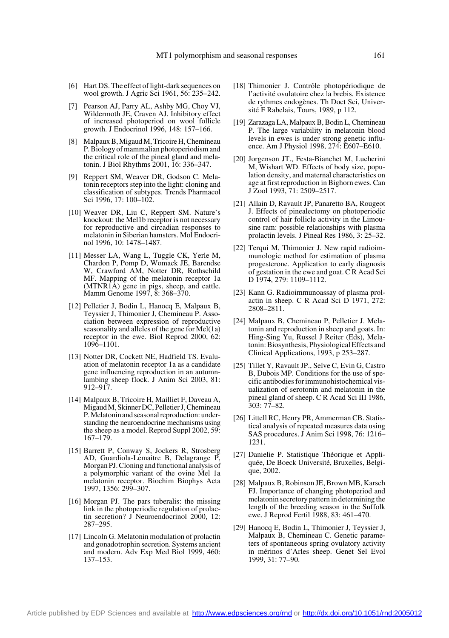- [6] Hart DS. The effect of light-dark sequences on wool growth. J Agric Sci 1961, 56: 235–242.
- [7] Pearson AJ, Parry AL, Ashby MG, Choy VJ, Wildermoth JE, Craven AJ. Inhibitory effect of increased photoperiod on wool follicle growth. J Endocrinol 1996, 148: 157–166.
- [8] Malpaux B, Migaud M, Tricoire H, Chemineau P. Biology of mammalian photoperiodism and the critical role of the pineal gland and melatonin. J Biol Rhythms 2001, 16: 336–347.
- [9] Reppert SM, Weaver DR, Godson C. Melatonin receptors step into the light: cloning and classification of subtypes. Trends Pharmacol Sci 1996, 17: 100–102.
- [10] Weaver DR, Liu C, Reppert SM. Nature's knockout: the Mel1b receptor is not necessary for reproductive and circadian responses to melatonin in Siberian hamsters. Mol Endocrinol 1996, 10: 1478–1487.
- [11] Messer LA, Wang L, Tuggle CK, Yerle M, Chardon P, Pomp D, Womack JE, Barendse W, Crawford AM, Notter DR, Rothschild MF. Mapping of the melatonin receptor 1a (MTNR1A) gene in pigs, sheep, and cattle. Mamm Genome 1997, 8: 368–370.
- [12] Pelletier J, Bodin L, Hanocq E, Malpaux B, Teyssier J, Thimonier J, Chemineau P. Association between expression of reproductive seasonality and alleles of the gene for Mel(1a) receptor in the ewe. Biol Reprod 2000, 62: 1096–1101.
- [13] Notter DR, Cockett NE, Hadfield TS. Evaluation of melatonin receptor 1a as a candidate gene influencing reproduction in an autumnlambing sheep flock. J Anim Sci 2003, 81: 912–917.
- [14] Malpaux B, Tricoire H, Mailliet F, Daveau A, Migaud M, Skinner DC, Pelletier J, Chemineau P. Melatonin and seasonal reproduction: understanding the neuroendocrine mechanisms using the sheep as a model. Reprod Suppl 2002, 59: 167–179.
- [15] Barrett P, Conway S, Jockers R, Strosberg AD, Guardiola-Lemaitre B, Delagrange P, Morgan PJ. Cloning and functional analysis of a polymorphic variant of the ovine Mel 1a melatonin receptor. Biochim Biophys Acta 1997, 1356: 299–307.
- [16] Morgan PJ. The pars tuberalis: the missing link in the photoperiodic regulation of prolactin secretion? J Neuroendocrinol 2000, 12: 287–295.
- [17] Lincoln G. Melatonin modulation of prolactin and gonadotrophin secretion. Systems ancient and modern. Adv Exp Med Biol 1999, 460: 137–153.
- [18] Thimonier J. Contrôle photopériodique de l'activité ovulatoire chez la brebis. Existence de rythmes endogènes. Th Doct Sci, Université F Rabelais, Tours, 1989, p 112.
- [19] Zarazaga LA, Malpaux B, Bodin L, Chemineau P. The large variability in melatonin blood levels in ewes is under strong genetic influence. Am J Physiol 1998, 274: E607–E610.
- [20] Jorgenson JT., Festa-Bianchet M, Lucherini M, Wishart WD. Effects of body size, population density, and maternal characteristics on age at first reproduction in Bighorn ewes. Can J Zool 1993, 71: 2509–2517.
- [21] Allain D, Ravault JP, Panaretto BA, Rougeot J. Effects of pinealectomy on photoperiodic control of hair follicle activity in the Limousine ram: possible relationships with plasma prolactin levels. J Pineal Res 1986, 3: 25–32.
- [22] Terqui M, Thimonier J. New rapid radioimmunologic method for estimation of plasma progesterone. Application to early diagnosis of gestation in the ewe and goat. C R Acad Sci D 1974, 279: 1109–1112.
- [23] Kann G. Radioimmunoassay of plasma prolactin in sheep. C R Acad Sci D 1971, 272: 2808–2811.
- [24] Malpaux B, Chemineau P, Pelletier J. Melatonin and reproduction in sheep and goats. In: Hing-Sing Yu, Russel J Reiter (Eds), Melatonin: Biosynthesis, Physiological Effects and Clinical Applications, 1993, p 253–287.
- [25] Tillet Y, Ravault JP., Selve C, Evin G, Castro B, Dubois MP. Conditions for the use of specific antibodies for immunohistochemical visualization of serotonin and melatonin in the pineal gland of sheep. C R Acad Sci III 1986, 303: 77–82.
- [26] Littell RC, Henry PR, Ammerman CB. Statistical analysis of repeated measures data using SAS procedures. J Anim Sci 1998, 76: 1216– 1231.
- [27] Danielie P. Statistique Théorique et Appliquée, De Boeck Université, Bruxelles, Belgique, 2002.
- [28] Malpaux B, Robinson JE, Brown MB, Karsch FJ. Importance of changing photoperiod and melatonin secretory pattern in determining the length of the breeding season in the Suffolk ewe. J Reprod Fertil 1988, 83: 461–470.
- [29] Hanocq E, Bodin L, Thimonier J, Teyssier J, Malpaux B, Chemineau C. Genetic parameters of spontaneous spring ovulatory activity in mérinos d'Arles sheep. Genet Sel Evol 1999, 31: 77–90.